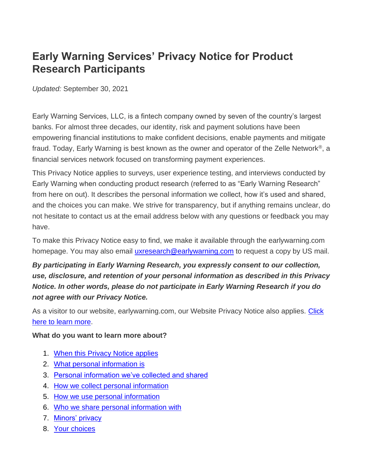# **Early Warning Services' Privacy Notice for Product Research Participants**

*Updated:* September 30, 2021

Early Warning Services, LLC, is a fintech company owned by seven of the country's largest banks. For almost three decades, our identity, risk and payment solutions have been empowering financial institutions to make confident decisions, enable payments and mitigate fraud. Today, Early Warning is best known as the owner and operator of the Zelle Network®, a financial services network focused on transforming payment experiences.

This Privacy Notice applies to surveys, user experience testing, and interviews conducted by Early Warning when conducting product research (referred to as "Early Warning Research" from here on out). It describes the personal information we collect, how it's used and shared, and the choices you can make. We strive for transparency, but if anything remains unclear, do not hesitate to contact us at the email address below with any questions or feedback you may have.

To make this Privacy Notice easy to find, we make it available through the earlywarning.com homepage. You may also email [uxresearch@earlywarning.com](mailto:uxresearch@earlywarning.com) to request a copy by US mail.

*By participating in Early Warning Research, you expressly consent to our collection, use, disclosure, and retention of your personal information as described in this Privacy Notice. In other words, please do not participate in Early Warning Research if you do not agree with our Privacy Notice.*

As a visitor to our website, earlywarning.com, our Website Privacy Notice also applies. Click [here to learn more.](https://www.earlywarning.com/privacy-notice)

#### **What do you want to learn more about?**

- 1. [When this Privacy Notice applies](https://www.zellepay.com/legal-and-privacy#applies)
- 2. [What personal information is](https://www.zellepay.com/legal-and-privacy#what_is)
- 3. [Personal information we've collected and shared](https://www.zellepay.com/legal-and-privacy#collect_share)
- 4. [How we collect personal information](https://www.zellepay.com/legal-and-privacy#collect_info)
- 5. [How we use personal information](https://www.zellepay.com/legal-and-privacy#use_info)
- 6. [Who we share personal information with](https://www.zellepay.com/legal-and-privacy#share_personal)
- 7. [Minors' privacy](https://www.zellepay.com/legal-and-privacy#minors)
- 8. [Your choices](https://www.zellepay.com/legal-and-privacy#choices)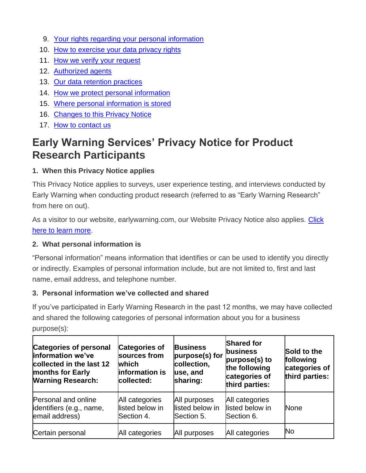- 9. [Your rights regarding your personal information](https://www.zellepay.com/legal-and-privacy#rights)
- 10. [How to exercise your data privacy rights](https://www.zellepay.com/legal-and-privacy#exercise)
- 11. [How we verify your request](https://www.zellepay.com/legal-and-privacy#verify_request)
- 12. [Authorized agents](https://www.zellepay.com/legal-and-privacy#agents)
- 13. Our data [retention practices](https://www.zellepay.com/legal-and-privacy#data_retention)
- 14. [How we protect personal information](https://www.zellepay.com/legal-and-privacy#protect)
- 15. [Where personal information is stored](https://www.zellepay.com/legal-and-privacy#info_stored)
- 16. [Changes to this Privacy Notice](https://www.zellepay.com/legal-and-privacy#changes)
- 17. [How to contact us](https://www.zellepay.com/legal-and-privacy#contact_us)

# **Early Warning Services' Privacy Notice for Product Research Participants**

# **1. When this Privacy Notice applies**

This Privacy Notice applies to surveys, user experience testing, and interviews conducted by Early Warning when conducting product research (referred to as "Early Warning Research" from here on out).

As a visitor to our website, earlywarning.com, our Website Privacy Notice also applies. Click [here to learn more.](https://www.earlywarning.com/privacy-notice)

# **2. What personal information is**

"Personal information" means information that identifies or can be used to identify you directly or indirectly. Examples of personal information include, but are not limited to, first and last name, email address, and telephone number.

# **3. Personal information we've collected and shared**

If you've participated in Early Warning Research in the past 12 months, we may have collected and shared the following categories of personal information about you for a business purpose(s):

| <b>Categories of personal</b><br>information we've<br>collected in the last 12<br>months for Early<br><b>Warning Research:</b> | <b>Categories of</b><br>sources from<br><b>which</b><br>information is<br>collected: | <b>Business</b><br>purpose(s) for<br>collection,<br>use, and<br>sharing: | <b>Shared for</b><br>business<br>purpose(s) to<br>the following<br>categories of<br>third parties: | Sold to the<br>following<br>categories of<br>third parties: |
|--------------------------------------------------------------------------------------------------------------------------------|--------------------------------------------------------------------------------------|--------------------------------------------------------------------------|----------------------------------------------------------------------------------------------------|-------------------------------------------------------------|
| Personal and online<br>identifiers (e.g., name,<br>email address)                                                              | All categories<br>listed below in<br>Section 4.                                      | All purposes<br>listed below in<br>Section 5.                            | All categories<br>listed below in<br>Section 6.                                                    | <b>None</b>                                                 |
| Certain personal                                                                                                               | All categories                                                                       | All purposes                                                             | All categories                                                                                     | <b>No</b>                                                   |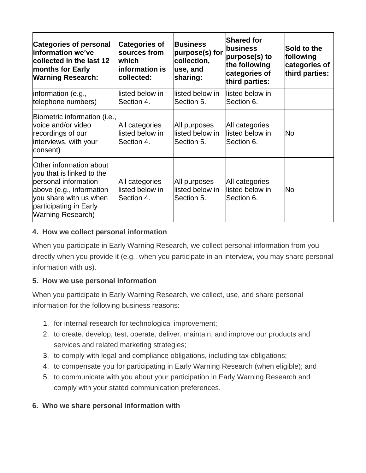| <b>Categories of personal</b><br>linformation we've<br>collected in the last 12<br><b>months for Early</b><br><b>Warning Research:</b>                                                   | <b>Categories of</b><br>sources from<br><b>which</b><br>linformation is<br>collected: | <b>Business</b><br>purpose(s) for<br>collection,<br>use, and<br>sharing: | <b>Shared for</b><br>business<br>purpose(s) to<br>the following<br>categories of<br>third parties: | Sold to the<br>following<br>categories of<br>third parties: |
|------------------------------------------------------------------------------------------------------------------------------------------------------------------------------------------|---------------------------------------------------------------------------------------|--------------------------------------------------------------------------|----------------------------------------------------------------------------------------------------|-------------------------------------------------------------|
| linformation (e.g.,<br>telephone numbers)                                                                                                                                                | listed below in<br>Section 4.                                                         | listed below in<br>Section 5.                                            | listed below in<br>Section 6.                                                                      |                                                             |
| Biometric information (i.e.,<br>voice and/or video<br>recordings of our<br>interviews, with your<br>consent)                                                                             | All categories<br>listed below in<br>Section 4.                                       | All purposes<br>listed below in<br>Section 5.                            | All categories<br>listed below in<br>Section 6.                                                    | No                                                          |
| Other information about<br>you that is linked to the<br>personal information<br>above (e.g., information<br>you share with us when<br>participating in Early<br><b>Warning Research)</b> | All categories<br>listed below in<br>Section 4.                                       | All purposes<br>listed below in<br>Section 5.                            | All categories<br>listed below in<br>Section 6.                                                    | No                                                          |

#### **4. How we collect personal information**

When you participate in Early Warning Research, we collect personal information from you directly when you provide it (e.g., when you participate in an interview, you may share personal information with us).

#### **5. How we use personal information**

When you participate in Early Warning Research, we collect, use, and share personal information for the following business reasons:

- 1. for internal research for technological improvement;
- 2. to create, develop, test, operate, deliver, maintain, and improve our products and services and related marketing strategies;
- 3. to comply with legal and compliance obligations, including tax obligations;
- 4. to compensate you for participating in Early Warning Research (when eligible); and
- 5. to communicate with you about your participation in Early Warning Research and comply with your stated communication preferences.

#### **6. Who we share personal information with**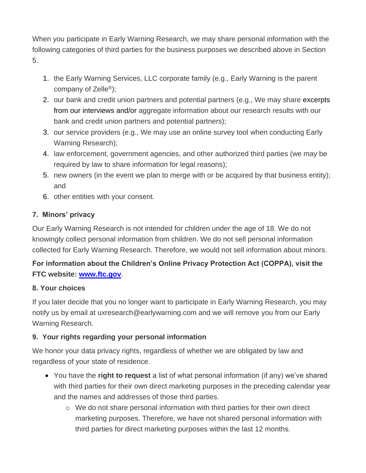When you participate in Early Warning Research, we may share personal information with the following categories of third parties for the business purposes we described above in Section 5.

- 1. the Early Warning Services, LLC corporate family (e.g., Early Warning is the parent company of Zelle®);
- 2. our bank and credit union partners and potential partners (e.g., We may share excerpts from our interviews and/or aggregate information about our research results with our bank and credit union partners and potential partners);
- 3. our service providers (e.g., We may use an online survey tool when conducting Early Warning Research);
- 4. law enforcement, government agencies, and other authorized third parties (we may be required by law to share information for legal reasons);
- 5. new owners (in the event we plan to merge with or be acquired by that business entity); and
- 6. other entities with your consent.

## **7. Minors' privacy**

Our Early Warning Research is not intended for children under the age of 18. We do not knowingly collect personal information from children. We do not sell personal information collected for Early Warning Research. Therefore, we would not sell information about minors.

# **For information about the Children's Online Privacy Protection Act (COPPA), visit the FTC website: [www.ftc.gov](https://www.zellepay.com/www.ftc.gov)**.

#### **8. Your choices**

If you later decide that you no longer want to participate in Early Warning Research, you may notify us by email at uxresearch@earlywarning.com and we will remove you from our Early Warning Research.

# **9. Your rights regarding your personal information**

We honor your data privacy rights, regardless of whether we are obligated by law and regardless of your state of residence.

- You have the **right to request** a list of what personal information (if any) we've shared with third parties for their own direct marketing purposes in the preceding calendar year and the names and addresses of those third parties.
	- o We do not share personal information with third parties for their own direct marketing purposes. Therefore, we have not shared personal information with third parties for direct marketing purposes within the last 12 months.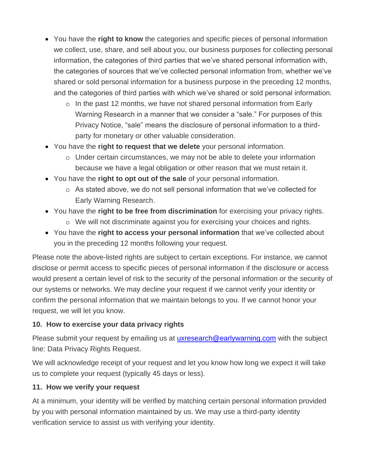- You have the **right to know** the categories and specific pieces of personal information we collect, use, share, and sell about you, our business purposes for collecting personal information, the categories of third parties that we've shared personal information with, the categories of sources that we've collected personal information from, whether we've shared or sold personal information for a business purpose in the preceding 12 months, and the categories of third parties with which we've shared or sold personal information.
	- $\circ$  In the past 12 months, we have not shared personal information from Early Warning Research in a manner that we consider a "sale." For purposes of this Privacy Notice, "sale" means the disclosure of personal information to a thirdparty for monetary or other valuable consideration.
- You have the **right to request that we delete** your personal information.
	- o Under certain circumstances, we may not be able to delete your information because we have a legal obligation or other reason that we must retain it.
- You have the **right to opt out of the sale** of your personal information.
	- o As stated above, we do not sell personal information that we've collected for Early Warning Research.
- You have the **right to be free from discrimination** for exercising your privacy rights.
	- o We will not discriminate against you for exercising your choices and rights.
- You have the **right to access your personal information** that we've collected about you in the preceding 12 months following your request.

Please note the above-listed rights are subject to certain exceptions. For instance, we cannot disclose or permit access to specific pieces of personal information if the disclosure or access would present a certain level of risk to the security of the personal information or the security of our systems or networks. We may decline your request if we cannot verify your identity or confirm the personal information that we maintain belongs to you. If we cannot honor your request, we will let you know.

#### **10. How to exercise your data privacy rights**

Please submit your request by emailing us at [uxresearch@earlywarning.com](mailto:uxresearch@earlywarning.com) with the subject line: Data Privacy Rights Request.

We will acknowledge receipt of your request and let you know how long we expect it will take us to complete your request (typically 45 days or less).

#### **11. How we verify your request**

At a minimum, your identity will be verified by matching certain personal information provided by you with personal information maintained by us. We may use a third-party identity verification service to assist us with verifying your identity.